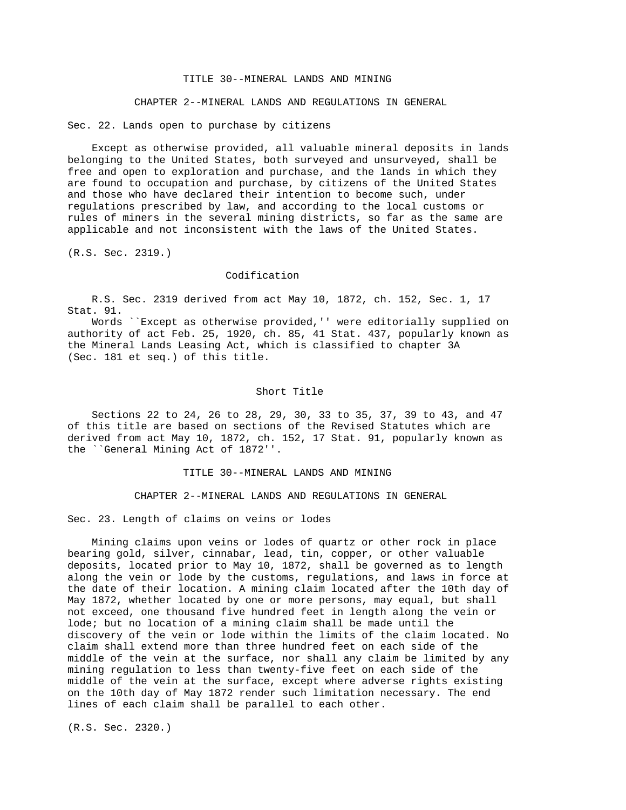### TITLE 30--MINERAL LANDS AND MINING

#### CHAPTER 2--MINERAL LANDS AND REGULATIONS IN GENERAL

Sec. 22. Lands open to purchase by citizens

Except as otherwise provided, all valuable mineral deposits in lands belonging to the United States, both surveyed and unsurveyed, shall be free and open to exploration and purchase, and the lands in which they are found to occupation and purchase, by citizens of the United States and those who have declared their intention to become such, under regulations prescribed by law, and according to the local customs or rules of miners in the several mining districts, so far as the same are applicable and not inconsistent with the laws of the United States.

(R.S. Sec. 2319.)

# Codification

R.S. Sec. 2319 derived from act May 10, 1872, ch. 152, Sec. 1, 17 Stat. 91.

Words ``Except as otherwise provided,'' were editorially supplied on authority of act Feb. 25, 1920, ch. 85, 41 Stat. 437, popularly known as the Mineral Lands Leasing Act, which is classified to chapter 3A (Sec. 181 et seq.) of this title.

# Short Title

Sections 22 to 24, 26 to 28, 29, 30, 33 to 35, 37, 39 to 43, and 47 of this title are based on sections of the Revised Statutes which are derived from act May 10, 1872, ch. 152, 17 Stat. 91, popularly known as the ``General Mining Act of 1872''.

### TITLE 30--MINERAL LANDS AND MINING

CHAPTER 2--MINERAL LANDS AND REGULATIONS IN GENERAL

Sec. 23. Length of claims on veins or lodes

Mining claims upon veins or lodes of quartz or other rock in place bearing gold, silver, cinnabar, lead, tin, copper, or other valuable deposits, located prior to May 10, 1872, shall be governed as to length along the vein or lode by the customs, regulations, and laws in force at the date of their location. A mining claim located after the 10th day of May 1872, whether located by one or more persons, may equal, but shall not exceed, one thousand five hundred feet in length along the vein or lode; but no location of a mining claim shall be made until the discovery of the vein or lode within the limits of the claim located. No claim shall extend more than three hundred feet on each side of the middle of the vein at the surface, nor shall any claim be limited by any mining regulation to less than twenty-five feet on each side of the middle of the vein at the surface, except where adverse rights existing on the 10th day of May 1872 render such limitation necessary. The end lines of each claim shall be parallel to each other.

(R.S. Sec. 2320.)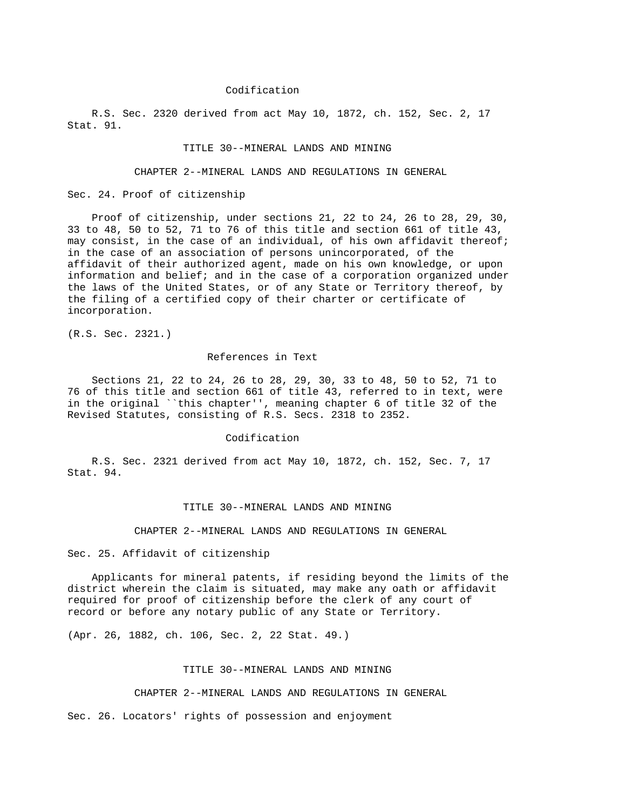### Codification

R.S. Sec. 2320 derived from act May 10, 1872, ch. 152, Sec. 2, 17 Stat. 91.

#### TITLE 30--MINERAL LANDS AND MINING

CHAPTER 2--MINERAL LANDS AND REGULATIONS IN GENERAL

Sec. 24. Proof of citizenship

Proof of citizenship, under sections 21, 22 to 24, 26 to 28, 29, 30, 33 to 48, 50 to 52, 71 to 76 of this title and section 661 of title 43, may consist, in the case of an individual, of his own affidavit thereof; in the case of an association of persons unincorporated, of the affidavit of their authorized agent, made on his own knowledge, or upon information and belief; and in the case of a corporation organized under the laws of the United States, or of any State or Territory thereof, by the filing of a certified copy of their charter or certificate of incorporation.

(R.S. Sec. 2321.)

#### References in Text

Sections 21, 22 to 24, 26 to 28, 29, 30, 33 to 48, 50 to 52, 71 to 76 of this title and section 661 of title 43, referred to in text, were in the original ``this chapter'', meaning chapter 6 of title 32 of the Revised Statutes, consisting of R.S. Secs. 2318 to 2352.

### Codification

R.S. Sec. 2321 derived from act May 10, 1872, ch. 152, Sec. 7, 17 Stat. 94.

#### TITLE 30--MINERAL LANDS AND MINING

CHAPTER 2--MINERAL LANDS AND REGULATIONS IN GENERAL

Sec. 25. Affidavit of citizenship

Applicants for mineral patents, if residing beyond the limits of the district wherein the claim is situated, may make any oath or affidavit required for proof of citizenship before the clerk of any court of record or before any notary public of any State or Territory.

(Apr. 26, 1882, ch. 106, Sec. 2, 22 Stat. 49.)

# TITLE 30--MINERAL LANDS AND MINING

CHAPTER 2--MINERAL LANDS AND REGULATIONS IN GENERAL

Sec. 26. Locators' rights of possession and enjoyment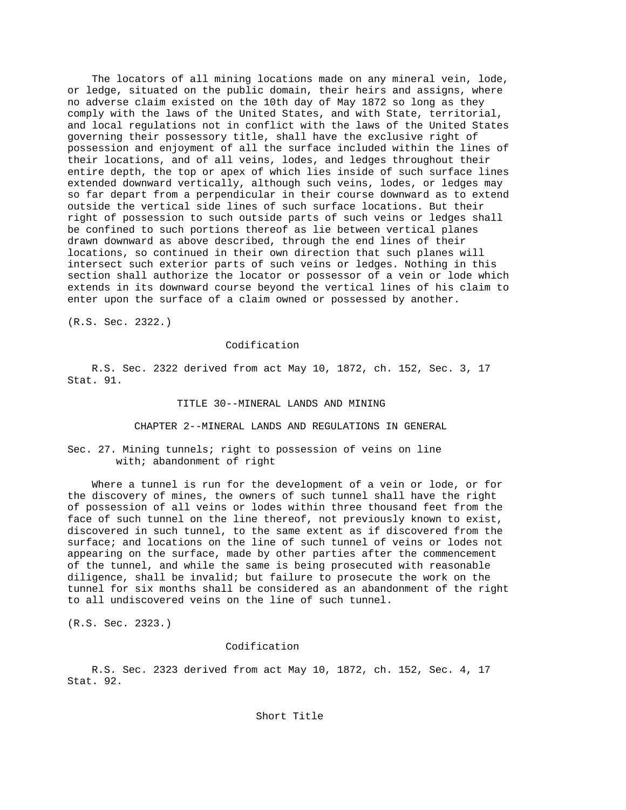The locators of all mining locations made on any mineral vein, lode, or ledge, situated on the public domain, their heirs and assigns, where no adverse claim existed on the 10th day of May 1872 so long as they comply with the laws of the United States, and with State, territorial, and local regulations not in conflict with the laws of the United States governing their possessory title, shall have the exclusive right of possession and enjoyment of all the surface included within the lines of their locations, and of all veins, lodes, and ledges throughout their entire depth, the top or apex of which lies inside of such surface lines extended downward vertically, although such veins, lodes, or ledges may so far depart from a perpendicular in their course downward as to extend outside the vertical side lines of such surface locations. But their right of possession to such outside parts of such veins or ledges shall be confined to such portions thereof as lie between vertical planes drawn downward as above described, through the end lines of their locations, so continued in their own direction that such planes will intersect such exterior parts of such veins or ledges. Nothing in this section shall authorize the locator or possessor of a vein or lode which extends in its downward course beyond the vertical lines of his claim to enter upon the surface of a claim owned or possessed by another.

(R.S. Sec. 2322.)

# Codification

R.S. Sec. 2322 derived from act May 10, 1872, ch. 152, Sec. 3, 17 Stat. 91.

## TITLE 30--MINERAL LANDS AND MINING

#### CHAPTER 2--MINERAL LANDS AND REGULATIONS IN GENERAL

Sec. 27. Mining tunnels; right to possession of veins on line with; abandonment of right

Where a tunnel is run for the development of a vein or lode, or for the discovery of mines, the owners of such tunnel shall have the right of possession of all veins or lodes within three thousand feet from the face of such tunnel on the line thereof, not previously known to exist, discovered in such tunnel, to the same extent as if discovered from the surface; and locations on the line of such tunnel of veins or lodes not appearing on the surface, made by other parties after the commencement of the tunnel, and while the same is being prosecuted with reasonable diligence, shall be invalid; but failure to prosecute the work on the tunnel for six months shall be considered as an abandonment of the right to all undiscovered veins on the line of such tunnel.

(R.S. Sec. 2323.)

# Codification

R.S. Sec. 2323 derived from act May 10, 1872, ch. 152, Sec. 4, 17 Stat. 92.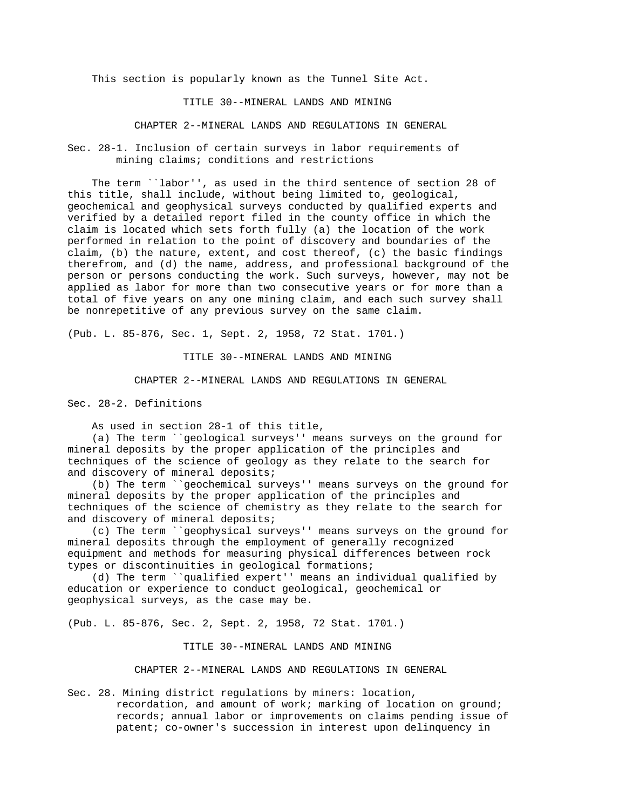This section is popularly known as the Tunnel Site Act.

# TITLE 30--MINERAL LANDS AND MINING

CHAPTER 2--MINERAL LANDS AND REGULATIONS IN GENERAL

Sec. 28-1. Inclusion of certain surveys in labor requirements of mining claims; conditions and restrictions

The term ``labor'', as used in the third sentence of section 28 of this title, shall include, without being limited to, geological, geochemical and geophysical surveys conducted by qualified experts and verified by a detailed report filed in the county office in which the claim is located which sets forth fully (a) the location of the work performed in relation to the point of discovery and boundaries of the claim, (b) the nature, extent, and cost thereof, (c) the basic findings therefrom, and (d) the name, address, and professional background of the person or persons conducting the work. Such surveys, however, may not be applied as labor for more than two consecutive years or for more than a total of five years on any one mining claim, and each such survey shall be nonrepetitive of any previous survey on the same claim.

(Pub. L. 85-876, Sec. 1, Sept. 2, 1958, 72 Stat. 1701.)

TITLE 30--MINERAL LANDS AND MINING

CHAPTER 2--MINERAL LANDS AND REGULATIONS IN GENERAL

Sec. 28-2. Definitions

As used in section 28-1 of this title,

(a) The term ``geological surveys'' means surveys on the ground for mineral deposits by the proper application of the principles and techniques of the science of geology as they relate to the search for and discovery of mineral deposits;

(b) The term ``geochemical surveys'' means surveys on the ground for mineral deposits by the proper application of the principles and techniques of the science of chemistry as they relate to the search for and discovery of mineral deposits;

(c) The term ``geophysical surveys'' means surveys on the ground for mineral deposits through the employment of generally recognized equipment and methods for measuring physical differences between rock types or discontinuities in geological formations;

(d) The term ``qualified expert'' means an individual qualified by education or experience to conduct geological, geochemical or geophysical surveys, as the case may be.

(Pub. L. 85-876, Sec. 2, Sept. 2, 1958, 72 Stat. 1701.)

TITLE 30--MINERAL LANDS AND MINING

CHAPTER 2--MINERAL LANDS AND REGULATIONS IN GENERAL

Sec. 28. Mining district regulations by miners: location, recordation, and amount of work; marking of location on ground; records; annual labor or improvements on claims pending issue of patent; co-owner's succession in interest upon delinquency in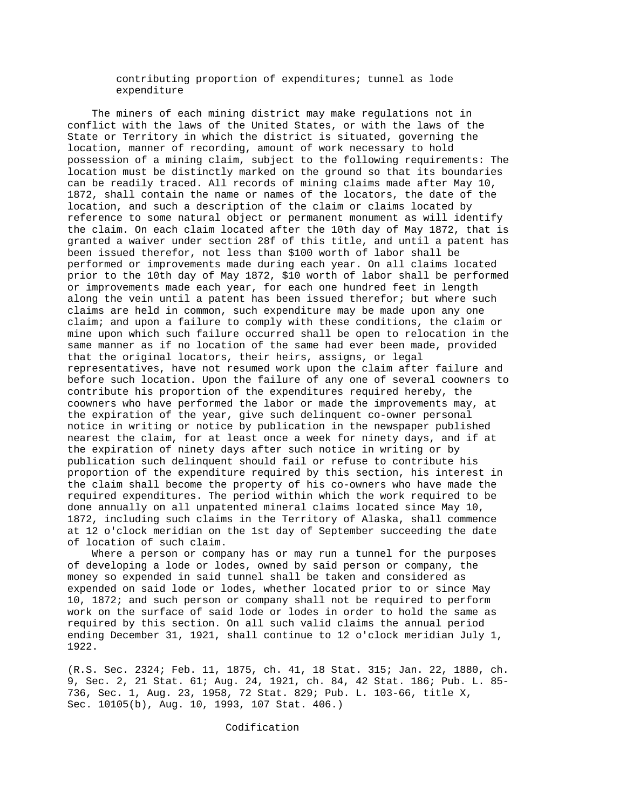contributing proportion of expenditures; tunnel as lode expenditure

The miners of each mining district may make regulations not in conflict with the laws of the United States, or with the laws of the State or Territory in which the district is situated, governing the location, manner of recording, amount of work necessary to hold possession of a mining claim, subject to the following requirements: The location must be distinctly marked on the ground so that its boundaries can be readily traced. All records of mining claims made after May 10, 1872, shall contain the name or names of the locators, the date of the location, and such a description of the claim or claims located by reference to some natural object or permanent monument as will identify the claim. On each claim located after the 10th day of May 1872, that is granted a waiver under section 28f of this title, and until a patent has been issued therefor, not less than \$100 worth of labor shall be performed or improvements made during each year. On all claims located prior to the 10th day of May 1872, \$10 worth of labor shall be performed or improvements made each year, for each one hundred feet in length along the vein until a patent has been issued therefor; but where such claims are held in common, such expenditure may be made upon any one claim; and upon a failure to comply with these conditions, the claim or mine upon which such failure occurred shall be open to relocation in the same manner as if no location of the same had ever been made, provided that the original locators, their heirs, assigns, or legal representatives, have not resumed work upon the claim after failure and before such location. Upon the failure of any one of several coowners to contribute his proportion of the expenditures required hereby, the coowners who have performed the labor or made the improvements may, at the expiration of the year, give such delinquent co-owner personal notice in writing or notice by publication in the newspaper published nearest the claim, for at least once a week for ninety days, and if at the expiration of ninety days after such notice in writing or by publication such delinquent should fail or refuse to contribute his proportion of the expenditure required by this section, his interest in the claim shall become the property of his co-owners who have made the required expenditures. The period within which the work required to be done annually on all unpatented mineral claims located since May 10, 1872, including such claims in the Territory of Alaska, shall commence at 12 o'clock meridian on the 1st day of September succeeding the date of location of such claim.

Where a person or company has or may run a tunnel for the purposes of developing a lode or lodes, owned by said person or company, the money so expended in said tunnel shall be taken and considered as expended on said lode or lodes, whether located prior to or since May 10, 1872; and such person or company shall not be required to perform work on the surface of said lode or lodes in order to hold the same as required by this section. On all such valid claims the annual period ending December 31, 1921, shall continue to 12 o'clock meridian July 1, 1922.

(R.S. Sec. 2324; Feb. 11, 1875, ch. 41, 18 Stat. 315; Jan. 22, 1880, ch. 9, Sec. 2, 21 Stat. 61; Aug. 24, 1921, ch. 84, 42 Stat. 186; Pub. L. 85- 736, Sec. 1, Aug. 23, 1958, 72 Stat. 829; Pub. L. 103-66, title X, Sec. 10105(b), Aug. 10, 1993, 107 Stat. 406.)

Codification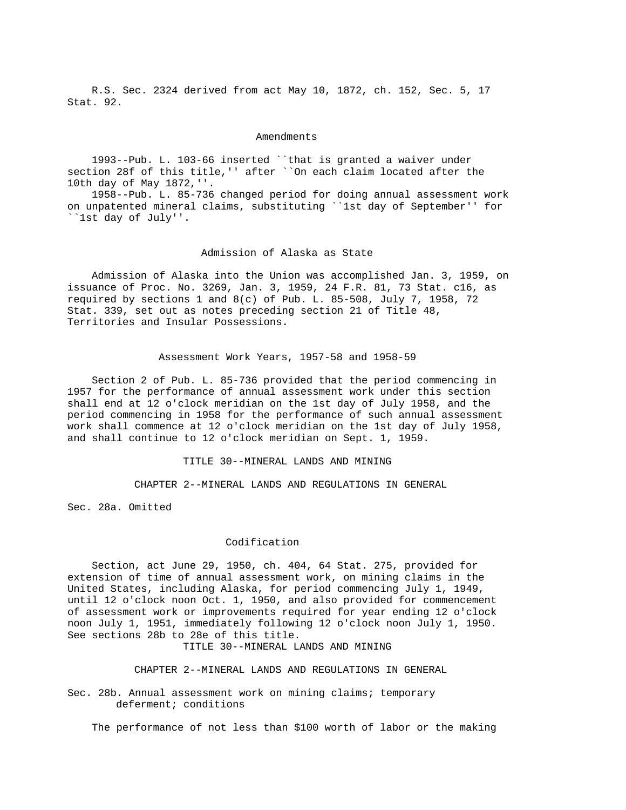R.S. Sec. 2324 derived from act May 10, 1872, ch. 152, Sec. 5, 17 Stat. 92.

#### Amendments

1993--Pub. L. 103-66 inserted ``that is granted a waiver under section 28f of this title,'' after ``On each claim located after the 10th day of May 1872,''.

1958--Pub. L. 85-736 changed period for doing annual assessment work on unpatented mineral claims, substituting ``1st day of September'' for ``1st day of July''.

### Admission of Alaska as State

Admission of Alaska into the Union was accomplished Jan. 3, 1959, on issuance of Proc. No. 3269, Jan. 3, 1959, 24 F.R. 81, 73 Stat. c16, as required by sections  $1$  and  $8(c)$  of Pub. L.  $85-508$ , July 7, 1958, 72 Stat. 339, set out as notes preceding section 21 of Title 48, Territories and Insular Possessions.

### Assessment Work Years, 1957-58 and 1958-59

Section 2 of Pub. L. 85-736 provided that the period commencing in 1957 for the performance of annual assessment work under this section shall end at 12 o'clock meridian on the 1st day of July 1958, and the period commencing in 1958 for the performance of such annual assessment work shall commence at 12 o'clock meridian on the 1st day of July 1958, and shall continue to 12 o'clock meridian on Sept. 1, 1959.

TITLE 30--MINERAL LANDS AND MINING

CHAPTER 2--MINERAL LANDS AND REGULATIONS IN GENERAL

Sec. 28a. Omitted

#### Codification

Section, act June 29, 1950, ch. 404, 64 Stat. 275, provided for extension of time of annual assessment work, on mining claims in the United States, including Alaska, for period commencing July 1, 1949, until 12 o'clock noon Oct. 1, 1950, and also provided for commencement of assessment work or improvements required for year ending 12 o'clock noon July 1, 1951, immediately following 12 o'clock noon July 1, 1950. See sections 28b to 28e of this title.

TITLE 30--MINERAL LANDS AND MINING

CHAPTER 2--MINERAL LANDS AND REGULATIONS IN GENERAL

Sec. 28b. Annual assessment work on mining claims; temporary deferment; conditions

The performance of not less than \$100 worth of labor or the making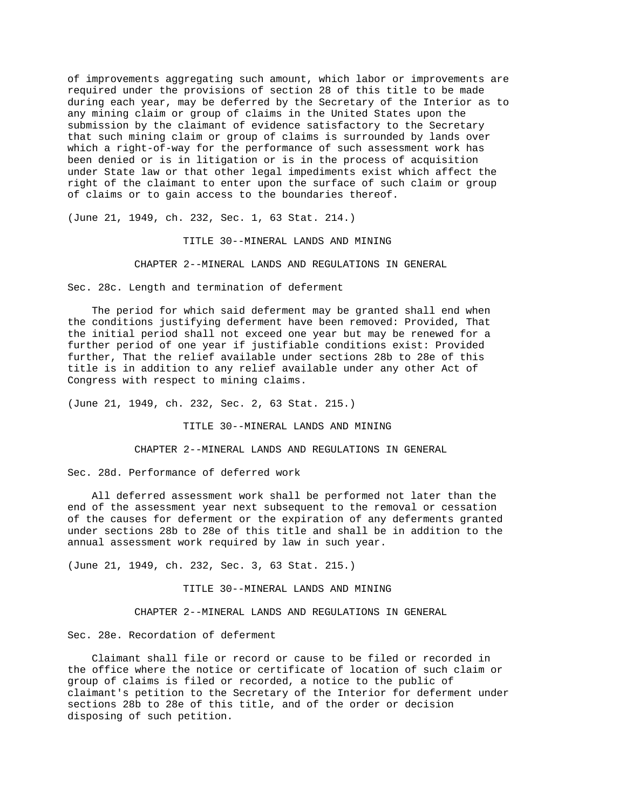of improvements aggregating such amount, which labor or improvements are required under the provisions of section 28 of this title to be made during each year, may be deferred by the Secretary of the Interior as to any mining claim or group of claims in the United States upon the submission by the claimant of evidence satisfactory to the Secretary that such mining claim or group of claims is surrounded by lands over which a right-of-way for the performance of such assessment work has been denied or is in litigation or is in the process of acquisition under State law or that other legal impediments exist which affect the right of the claimant to enter upon the surface of such claim or group of claims or to gain access to the boundaries thereof.

(June 21, 1949, ch. 232, Sec. 1, 63 Stat. 214.)

# TITLE 30--MINERAL LANDS AND MINING

### CHAPTER 2--MINERAL LANDS AND REGULATIONS IN GENERAL

Sec. 28c. Length and termination of deferment

The period for which said deferment may be granted shall end when the conditions justifying deferment have been removed: Provided, That the initial period shall not exceed one year but may be renewed for a further period of one year if justifiable conditions exist: Provided further, That the relief available under sections 28b to 28e of this title is in addition to any relief available under any other Act of Congress with respect to mining claims.

(June 21, 1949, ch. 232, Sec. 2, 63 Stat. 215.)

TITLE 30--MINERAL LANDS AND MINING

CHAPTER 2--MINERAL LANDS AND REGULATIONS IN GENERAL

Sec. 28d. Performance of deferred work

All deferred assessment work shall be performed not later than the end of the assessment year next subsequent to the removal or cessation of the causes for deferment or the expiration of any deferments granted under sections 28b to 28e of this title and shall be in addition to the annual assessment work required by law in such year.

(June 21, 1949, ch. 232, Sec. 3, 63 Stat. 215.)

TITLE 30--MINERAL LANDS AND MINING

CHAPTER 2--MINERAL LANDS AND REGULATIONS IN GENERAL

Sec. 28e. Recordation of deferment

Claimant shall file or record or cause to be filed or recorded in the office where the notice or certificate of location of such claim or group of claims is filed or recorded, a notice to the public of claimant's petition to the Secretary of the Interior for deferment under sections 28b to 28e of this title, and of the order or decision disposing of such petition.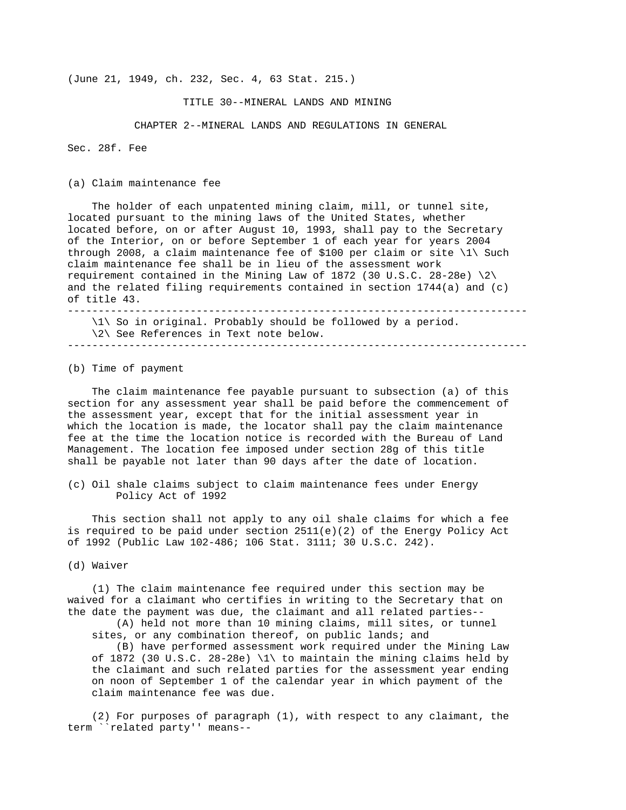(June 21, 1949, ch. 232, Sec. 4, 63 Stat. 215.)

TITLE 30--MINERAL LANDS AND MINING

CHAPTER 2--MINERAL LANDS AND REGULATIONS IN GENERAL

Sec. 28f. Fee

(a) Claim maintenance fee

The holder of each unpatented mining claim, mill, or tunnel site, located pursuant to the mining laws of the United States, whether located before, on or after August 10, 1993, shall pay to the Secretary of the Interior, on or before September 1 of each year for years 2004 through 2008, a claim maintenance fee of \$100 per claim or site  $\lvert \cdot \rvert$  Such claim maintenance fee shall be in lieu of the assessment work requirement contained in the Mining Law of 1872 (30 U.S.C. 28-28e) \2\ and the related filing requirements contained in section 1744(a) and (c) of title 43. ---------------------------------------------------------------------------

\1\ So in original. Probably should be followed by a period. \2\ See References in Text note below. ---------------------------------------------------------------------------

(b) Time of payment

The claim maintenance fee payable pursuant to subsection (a) of this section for any assessment year shall be paid before the commencement of the assessment year, except that for the initial assessment year in which the location is made, the locator shall pay the claim maintenance fee at the time the location notice is recorded with the Bureau of Land Management. The location fee imposed under section 28g of this title shall be payable not later than 90 days after the date of location.

(c) Oil shale claims subject to claim maintenance fees under Energy Policy Act of 1992

This section shall not apply to any oil shale claims for which a fee is required to be paid under section  $2511(e)(2)$  of the Energy Policy Act of 1992 (Public Law 102-486; 106 Stat. 3111; 30 U.S.C. 242).

(d) Waiver

(1) The claim maintenance fee required under this section may be waived for a claimant who certifies in writing to the Secretary that on the date the payment was due, the claimant and all related parties--

(A) held not more than 10 mining claims, mill sites, or tunnel sites, or any combination thereof, on public lands; and

(B) have performed assessment work required under the Mining Law of 1872 (30 U.S.C. 28-28e)  $\lceil \frac{1872}{30} \rceil$  to maintain the mining claims held by the claimant and such related parties for the assessment year ending on noon of September 1 of the calendar year in which payment of the claim maintenance fee was due.

(2) For purposes of paragraph (1), with respect to any claimant, the term ``related party'' means--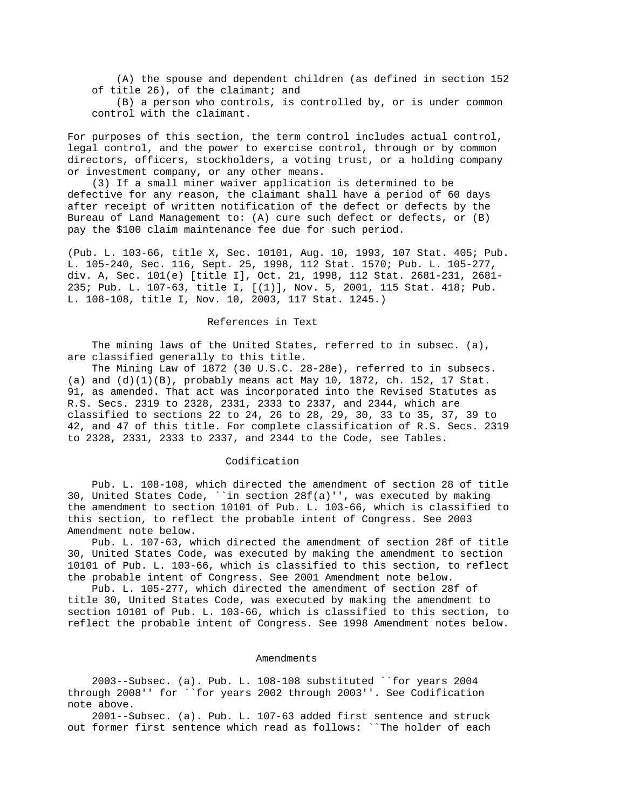(A) the spouse and dependent children (as defined in section 152 of title 26), of the claimant; and

(B) a person who controls, is controlled by, or is under common control with the claimant.

For purposes of this section, the term control includes actual control, legal control, and the power to exercise control, through or by common directors, officers, stockholders, a voting trust, or a holding company or investment company, or any other means.

(3) If a small miner waiver application is determined to be defective for any reason, the claimant shall have a period of 60 days after receipt of written notification of the defect or defects by the Bureau of Land Management to: (A) cure such defect or defects, or (B) pay the \$100 claim maintenance fee due for such period.

(Pub. L. 103-66, title X, Sec. 10101, Aug. 10, 1993, 107 Stat. 405; Pub. L. 105-240, Sec. 116, Sept. 25, 1998, 112 Stat. 1570; Pub. L. 105-277, div. A, Sec. 101(e) [title I], Oct. 21, 1998, 112 Stat. 2681-231, 2681- 235; Pub. L. 107-63, title I, [(1)], Nov. 5, 2001, 115 Stat. 418; Pub. L. 108-108, title I, Nov. 10, 2003, 117 Stat. 1245.)

# References in Text

The mining laws of the United States, referred to in subsec. (a), are classified generally to this title.

The Mining Law of 1872 (30 U.S.C. 28-28e), referred to in subsecs. (a) and  $(d)(1)(B)$ , probably means act May 10, 1872, ch. 152, 17 Stat. 91, as amended. That act was incorporated into the Revised Statutes as R.S. Secs. 2319 to 2328, 2331, 2333 to 2337, and 2344, which are classified to sections 22 to 24, 26 to 28, 29, 30, 33 to 35, 37, 39 to 42, and 47 of this title. For complete classification of R.S. Secs. 2319 to 2328, 2331, 2333 to 2337, and 2344 to the Code, see Tables.

# Codification

Pub. L. 108-108, which directed the amendment of section 28 of title 30, United States Code, ``in section 28f(a)'', was executed by making the amendment to section 10101 of Pub. L. 103-66, which is classified to this section, to reflect the probable intent of Congress. See 2003 Amendment note below.

Pub. L. 107-63, which directed the amendment of section 28f of title 30, United States Code, was executed by making the amendment to section 10101 of Pub. L. 103-66, which is classified to this section, to reflect the probable intent of Congress. See 2001 Amendment note below.

Pub. L. 105-277, which directed the amendment of section 28f of title 30, United States Code, was executed by making the amendment to section 10101 of Pub. L. 103-66, which is classified to this section, to reflect the probable intent of Congress. See 1998 Amendment notes below.

#### Amendments

2003--Subsec. (a). Pub. L. 108-108 substituted ``for years 2004 through 2008'' for ``for years 2002 through 2003''. See Codification note above.

2001--Subsec. (a). Pub. L. 107-63 added first sentence and struck out former first sentence which read as follows: ``The holder of each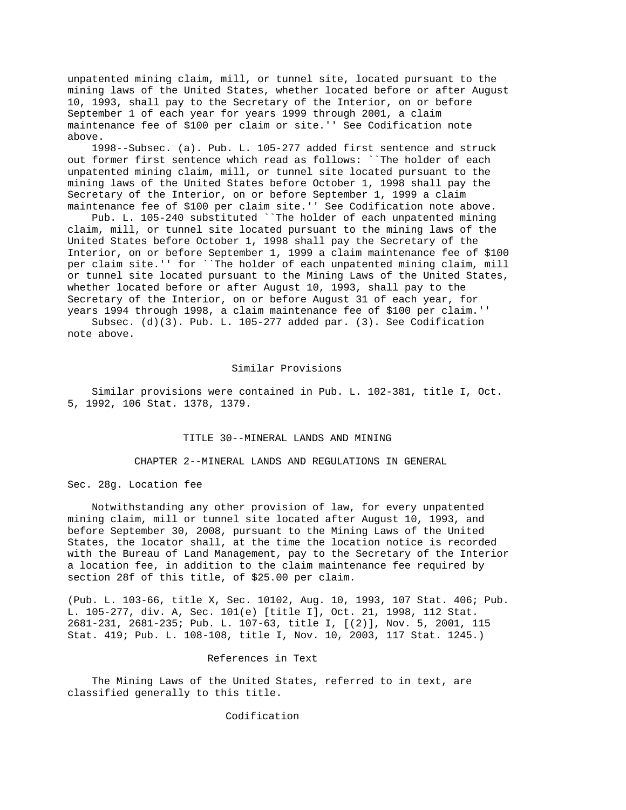unpatented mining claim, mill, or tunnel site, located pursuant to the mining laws of the United States, whether located before or after August 10, 1993, shall pay to the Secretary of the Interior, on or before September 1 of each year for years 1999 through 2001, a claim maintenance fee of \$100 per claim or site.'' See Codification note above.

1998--Subsec. (a). Pub. L. 105-277 added first sentence and struck out former first sentence which read as follows: ``The holder of each unpatented mining claim, mill, or tunnel site located pursuant to the mining laws of the United States before October 1, 1998 shall pay the Secretary of the Interior, on or before September 1, 1999 a claim maintenance fee of \$100 per claim site.'' See Codification note above.

Pub. L. 105-240 substituted ``The holder of each unpatented mining claim, mill, or tunnel site located pursuant to the mining laws of the United States before October 1, 1998 shall pay the Secretary of the Interior, on or before September 1, 1999 a claim maintenance fee of \$100 per claim site.'' for ``The holder of each unpatented mining claim, mill or tunnel site located pursuant to the Mining Laws of the United States, whether located before or after August 10, 1993, shall pay to the Secretary of the Interior, on or before August 31 of each year, for years 1994 through 1998, a claim maintenance fee of \$100 per claim.'' Subsec. (d)(3). Pub. L. 105-277 added par. (3). See Codification

note above.

### Similar Provisions

Similar provisions were contained in Pub. L. 102-381, title I, Oct. 5, 1992, 106 Stat. 1378, 1379.

# TITLE 30--MINERAL LANDS AND MINING

CHAPTER 2--MINERAL LANDS AND REGULATIONS IN GENERAL

Sec. 28g. Location fee

Notwithstanding any other provision of law, for every unpatented mining claim, mill or tunnel site located after August 10, 1993, and before September 30, 2008, pursuant to the Mining Laws of the United States, the locator shall, at the time the location notice is recorded with the Bureau of Land Management, pay to the Secretary of the Interior a location fee, in addition to the claim maintenance fee required by section 28f of this title, of \$25.00 per claim.

(Pub. L. 103-66, title X, Sec. 10102, Aug. 10, 1993, 107 Stat. 406; Pub. L. 105-277, div. A, Sec. 101(e) [title I], Oct. 21, 1998, 112 Stat. 2681-231, 2681-235; Pub. L. 107-63, title I, [(2)], Nov. 5, 2001, 115 Stat. 419; Pub. L. 108-108, title I, Nov. 10, 2003, 117 Stat. 1245.)

#### References in Text

The Mining Laws of the United States, referred to in text, are classified generally to this title.

Codification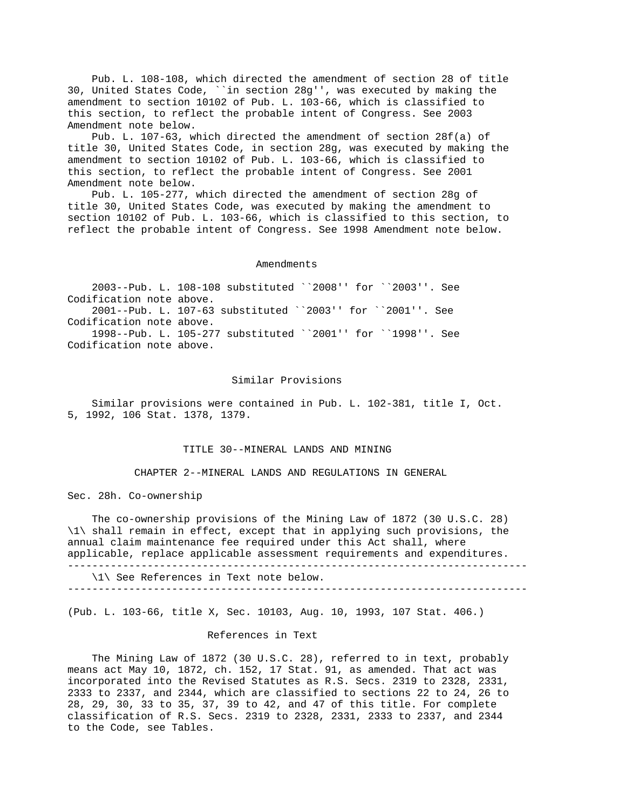Pub. L. 108-108, which directed the amendment of section 28 of title 30, United States Code, ``in section 28g'', was executed by making the amendment to section 10102 of Pub. L. 103-66, which is classified to this section, to reflect the probable intent of Congress. See 2003 Amendment note below.

Pub. L. 107-63, which directed the amendment of section 28f(a) of title 30, United States Code, in section 28g, was executed by making the amendment to section 10102 of Pub. L. 103-66, which is classified to this section, to reflect the probable intent of Congress. See 2001 Amendment note below.

Pub. L. 105-277, which directed the amendment of section 28g of title 30, United States Code, was executed by making the amendment to section 10102 of Pub. L. 103-66, which is classified to this section, to reflect the probable intent of Congress. See 1998 Amendment note below.

## Amendments

2003--Pub. L. 108-108 substituted ``2008'' for ``2003''. See Codification note above. 2001--Pub. L. 107-63 substituted ``2003'' for ``2001''. See Codification note above. 1998--Pub. L. 105-277 substituted ``2001'' for ``1998''. See Codification note above.

#### Similar Provisions

Similar provisions were contained in Pub. L. 102-381, title I, Oct. 5, 1992, 106 Stat. 1378, 1379.

### TITLE 30--MINERAL LANDS AND MINING

CHAPTER 2--MINERAL LANDS AND REGULATIONS IN GENERAL

Sec. 28h. Co-ownership

--------------------------------------------------------------------------- The co-ownership provisions of the Mining Law of 1872 (30 U.S.C. 28) \1\ shall remain in effect, except that in applying such provisions, the annual claim maintenance fee required under this Act shall, where applicable, replace applicable assessment requirements and expenditures.

--------------------------------------------------------------------------- \1\ See References in Text note below.

(Pub. L. 103-66, title X, Sec. 10103, Aug. 10, 1993, 107 Stat. 406.)

# References in Text

The Mining Law of 1872 (30 U.S.C. 28), referred to in text, probably means act May 10, 1872, ch. 152, 17 Stat. 91, as amended. That act was incorporated into the Revised Statutes as R.S. Secs. 2319 to 2328, 2331, 2333 to 2337, and 2344, which are classified to sections 22 to 24, 26 to 28, 29, 30, 33 to 35, 37, 39 to 42, and 47 of this title. For complete classification of R.S. Secs. 2319 to 2328, 2331, 2333 to 2337, and 2344 to the Code, see Tables.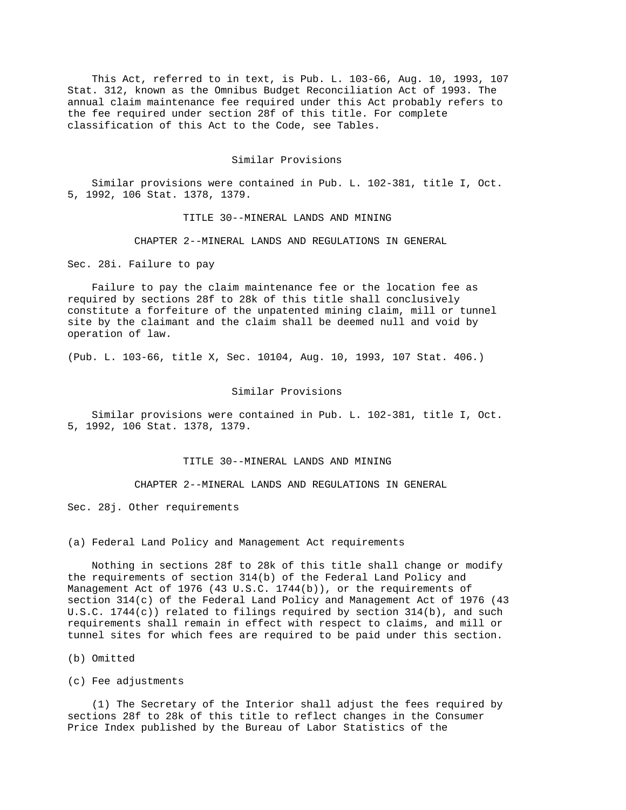This Act, referred to in text, is Pub. L. 103-66, Aug. 10, 1993, 107 Stat. 312, known as the Omnibus Budget Reconciliation Act of 1993. The annual claim maintenance fee required under this Act probably refers to the fee required under section 28f of this title. For complete classification of this Act to the Code, see Tables.

### Similar Provisions

Similar provisions were contained in Pub. L. 102-381, title I, Oct. 5, 1992, 106 Stat. 1378, 1379.

TITLE 30--MINERAL LANDS AND MINING

CHAPTER 2--MINERAL LANDS AND REGULATIONS IN GENERAL

Sec. 28i. Failure to pay

Failure to pay the claim maintenance fee or the location fee as required by sections 28f to 28k of this title shall conclusively constitute a forfeiture of the unpatented mining claim, mill or tunnel site by the claimant and the claim shall be deemed null and void by operation of law.

(Pub. L. 103-66, title X, Sec. 10104, Aug. 10, 1993, 107 Stat. 406.)

# Similar Provisions

Similar provisions were contained in Pub. L. 102-381, title I, Oct. 5, 1992, 106 Stat. 1378, 1379.

### TITLE 30--MINERAL LANDS AND MINING

CHAPTER 2--MINERAL LANDS AND REGULATIONS IN GENERAL

Sec. 28j. Other requirements

(a) Federal Land Policy and Management Act requirements

Nothing in sections 28f to 28k of this title shall change or modify the requirements of section 314(b) of the Federal Land Policy and Management Act of 1976 (43 U.S.C. 1744(b)), or the requirements of section 314(c) of the Federal Land Policy and Management Act of 1976 (43 U.S.C. 1744(c)) related to filings required by section 314(b), and such requirements shall remain in effect with respect to claims, and mill or tunnel sites for which fees are required to be paid under this section.

(b) Omitted

(c) Fee adjustments

(1) The Secretary of the Interior shall adjust the fees required by sections 28f to 28k of this title to reflect changes in the Consumer Price Index published by the Bureau of Labor Statistics of the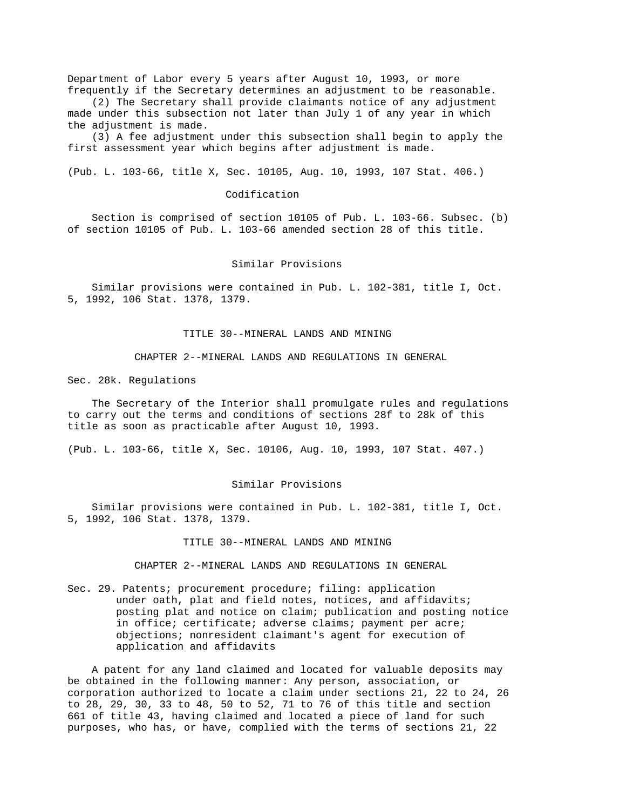Department of Labor every 5 years after August 10, 1993, or more frequently if the Secretary determines an adjustment to be reasonable.

(2) The Secretary shall provide claimants notice of any adjustment made under this subsection not later than July 1 of any year in which the adjustment is made.

(3) A fee adjustment under this subsection shall begin to apply the first assessment year which begins after adjustment is made.

(Pub. L. 103-66, title X, Sec. 10105, Aug. 10, 1993, 107 Stat. 406.)

#### Codification

Section is comprised of section 10105 of Pub. L. 103-66. Subsec. (b) of section 10105 of Pub. L. 103-66 amended section 28 of this title.

# Similar Provisions

Similar provisions were contained in Pub. L. 102-381, title I, Oct. 5, 1992, 106 Stat. 1378, 1379.

#### TITLE 30--MINERAL LANDS AND MINING

# CHAPTER 2--MINERAL LANDS AND REGULATIONS IN GENERAL

Sec. 28k. Regulations

The Secretary of the Interior shall promulgate rules and regulations to carry out the terms and conditions of sections 28f to 28k of this title as soon as practicable after August 10, 1993.

(Pub. L. 103-66, title X, Sec. 10106, Aug. 10, 1993, 107 Stat. 407.)

# Similar Provisions

Similar provisions were contained in Pub. L. 102-381, title I, Oct. 5, 1992, 106 Stat. 1378, 1379.

TITLE 30--MINERAL LANDS AND MINING

CHAPTER 2--MINERAL LANDS AND REGULATIONS IN GENERAL

Sec. 29. Patents; procurement procedure; filing: application under oath, plat and field notes, notices, and affidavits; posting plat and notice on claim; publication and posting notice in office; certificate; adverse claims; payment per acre; objections; nonresident claimant's agent for execution of application and affidavits

A patent for any land claimed and located for valuable deposits may be obtained in the following manner: Any person, association, or corporation authorized to locate a claim under sections 21, 22 to 24, 26 to 28, 29, 30, 33 to 48, 50 to 52, 71 to 76 of this title and section 661 of title 43, having claimed and located a piece of land for such purposes, who has, or have, complied with the terms of sections 21, 22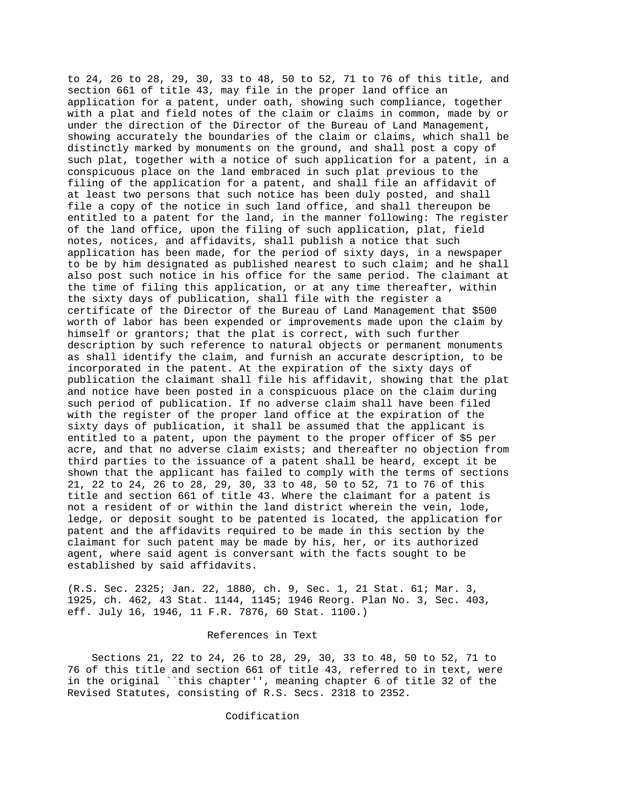to 24, 26 to 28, 29, 30, 33 to 48, 50 to 52, 71 to 76 of this title, and section 661 of title 43, may file in the proper land office an application for a patent, under oath, showing such compliance, together with a plat and field notes of the claim or claims in common, made by or under the direction of the Director of the Bureau of Land Management, showing accurately the boundaries of the claim or claims, which shall be distinctly marked by monuments on the ground, and shall post a copy of such plat, together with a notice of such application for a patent, in a conspicuous place on the land embraced in such plat previous to the filing of the application for a patent, and shall file an affidavit of at least two persons that such notice has been duly posted, and shall file a copy of the notice in such land office, and shall thereupon be entitled to a patent for the land, in the manner following: The register of the land office, upon the filing of such application, plat, field notes, notices, and affidavits, shall publish a notice that such application has been made, for the period of sixty days, in a newspaper to be by him designated as published nearest to such claim; and he shall also post such notice in his office for the same period. The claimant at the time of filing this application, or at any time thereafter, within the sixty days of publication, shall file with the register a certificate of the Director of the Bureau of Land Management that \$500 worth of labor has been expended or improvements made upon the claim by himself or grantors; that the plat is correct, with such further description by such reference to natural objects or permanent monuments as shall identify the claim, and furnish an accurate description, to be incorporated in the patent. At the expiration of the sixty days of publication the claimant shall file his affidavit, showing that the plat and notice have been posted in a conspicuous place on the claim during such period of publication. If no adverse claim shall have been filed with the register of the proper land office at the expiration of the sixty days of publication, it shall be assumed that the applicant is entitled to a patent, upon the payment to the proper officer of \$5 per acre, and that no adverse claim exists; and thereafter no objection from third parties to the issuance of a patent shall be heard, except it be shown that the applicant has failed to comply with the terms of sections 21, 22 to 24, 26 to 28, 29, 30, 33 to 48, 50 to 52, 71 to 76 of this title and section 661 of title 43. Where the claimant for a patent is not a resident of or within the land district wherein the vein, lode, ledge, or deposit sought to be patented is located, the application for patent and the affidavits required to be made in this section by the claimant for such patent may be made by his, her, or its authorized agent, where said agent is conversant with the facts sought to be established by said affidavits.

(R.S. Sec. 2325; Jan. 22, 1880, ch. 9, Sec. 1, 21 Stat. 61; Mar. 3, 1925, ch. 462, 43 Stat. 1144, 1145; 1946 Reorg. Plan No. 3, Sec. 403, eff. July 16, 1946, 11 F.R. 7876, 60 Stat. 1100.)

# References in Text

Sections 21, 22 to 24, 26 to 28, 29, 30, 33 to 48, 50 to 52, 71 to 76 of this title and section 661 of title 43, referred to in text, were in the original ``this chapter'', meaning chapter 6 of title 32 of the Revised Statutes, consisting of R.S. Secs. 2318 to 2352.

Codification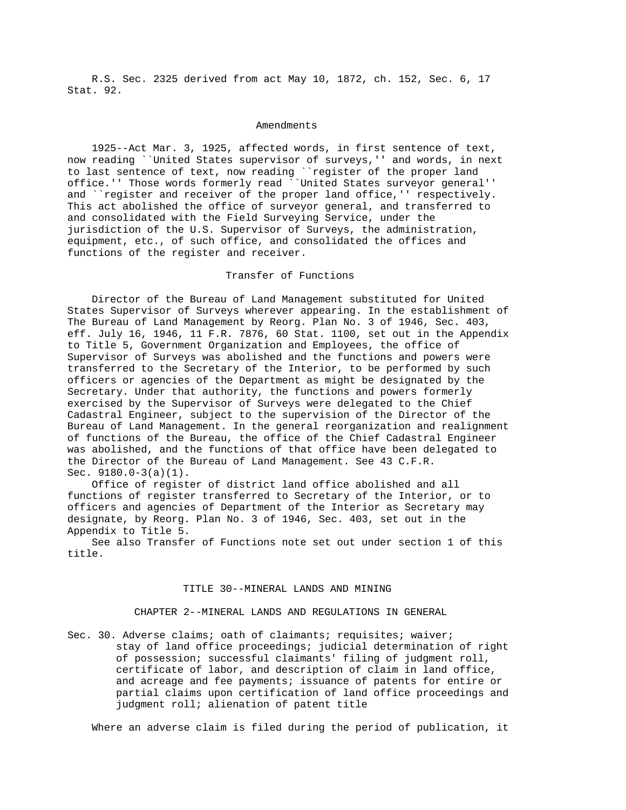R.S. Sec. 2325 derived from act May 10, 1872, ch. 152, Sec. 6, 17 Stat. 92.

#### Amendments

1925--Act Mar. 3, 1925, affected words, in first sentence of text, now reading ``United States supervisor of surveys,'' and words, in next to last sentence of text, now reading ``register of the proper land office.'' Those words formerly read ``United States surveyor general'' and ``register and receiver of the proper land office,'' respectively. This act abolished the office of surveyor general, and transferred to and consolidated with the Field Surveying Service, under the jurisdiction of the U.S. Supervisor of Surveys, the administration, equipment, etc., of such office, and consolidated the offices and functions of the register and receiver.

# Transfer of Functions

Director of the Bureau of Land Management substituted for United States Supervisor of Surveys wherever appearing. In the establishment of The Bureau of Land Management by Reorg. Plan No. 3 of 1946, Sec. 403, eff. July 16, 1946, 11 F.R. 7876, 60 Stat. 1100, set out in the Appendix to Title 5, Government Organization and Employees, the office of Supervisor of Surveys was abolished and the functions and powers were transferred to the Secretary of the Interior, to be performed by such officers or agencies of the Department as might be designated by the Secretary. Under that authority, the functions and powers formerly exercised by the Supervisor of Surveys were delegated to the Chief Cadastral Engineer, subject to the supervision of the Director of the Bureau of Land Management. In the general reorganization and realignment of functions of the Bureau, the office of the Chief Cadastral Engineer was abolished, and the functions of that office have been delegated to the Director of the Bureau of Land Management. See 43 C.F.R. Sec. 9180.0-3(a)(1).

Office of register of district land office abolished and all functions of register transferred to Secretary of the Interior, or to officers and agencies of Department of the Interior as Secretary may designate, by Reorg. Plan No. 3 of 1946, Sec. 403, set out in the Appendix to Title 5.

See also Transfer of Functions note set out under section 1 of this title.

### TITLE 30--MINERAL LANDS AND MINING

CHAPTER 2--MINERAL LANDS AND REGULATIONS IN GENERAL

Sec. 30. Adverse claims; oath of claimants; requisites; waiver; stay of land office proceedings; judicial determination of right of possession; successful claimants' filing of judgment roll, certificate of labor, and description of claim in land office, and acreage and fee payments; issuance of patents for entire or partial claims upon certification of land office proceedings and judgment roll; alienation of patent title

Where an adverse claim is filed during the period of publication, it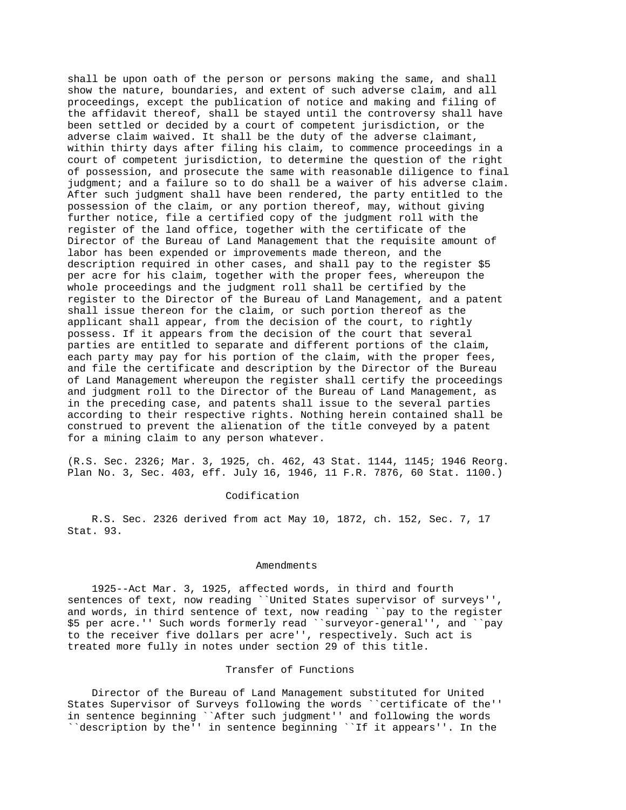shall be upon oath of the person or persons making the same, and shall show the nature, boundaries, and extent of such adverse claim, and all proceedings, except the publication of notice and making and filing of the affidavit thereof, shall be stayed until the controversy shall have been settled or decided by a court of competent jurisdiction, or the adverse claim waived. It shall be the duty of the adverse claimant, within thirty days after filing his claim, to commence proceedings in a court of competent jurisdiction, to determine the question of the right of possession, and prosecute the same with reasonable diligence to final judgment; and a failure so to do shall be a waiver of his adverse claim. After such judgment shall have been rendered, the party entitled to the possession of the claim, or any portion thereof, may, without giving further notice, file a certified copy of the judgment roll with the register of the land office, together with the certificate of the Director of the Bureau of Land Management that the requisite amount of labor has been expended or improvements made thereon, and the description required in other cases, and shall pay to the register \$5 per acre for his claim, together with the proper fees, whereupon the whole proceedings and the judgment roll shall be certified by the register to the Director of the Bureau of Land Management, and a patent shall issue thereon for the claim, or such portion thereof as the applicant shall appear, from the decision of the court, to rightly possess. If it appears from the decision of the court that several parties are entitled to separate and different portions of the claim, each party may pay for his portion of the claim, with the proper fees, and file the certificate and description by the Director of the Bureau of Land Management whereupon the register shall certify the proceedings and judgment roll to the Director of the Bureau of Land Management, as in the preceding case, and patents shall issue to the several parties according to their respective rights. Nothing herein contained shall be construed to prevent the alienation of the title conveyed by a patent for a mining claim to any person whatever.

(R.S. Sec. 2326; Mar. 3, 1925, ch. 462, 43 Stat. 1144, 1145; 1946 Reorg. Plan No. 3, Sec. 403, eff. July 16, 1946, 11 F.R. 7876, 60 Stat. 1100.)

#### Codification

R.S. Sec. 2326 derived from act May 10, 1872, ch. 152, Sec. 7, 17 Stat. 93.

#### Amendments

1925--Act Mar. 3, 1925, affected words, in third and fourth sentences of text, now reading ``United States supervisor of surveys'', and words, in third sentence of text, now reading ``pay to the register \$5 per acre.'' Such words formerly read ``surveyor-general'', and ``pay to the receiver five dollars per acre'', respectively. Such act is treated more fully in notes under section 29 of this title.

# Transfer of Functions

Director of the Bureau of Land Management substituted for United States Supervisor of Surveys following the words ``certificate of the'' in sentence beginning ``After such judgment'' and following the words ``description by the'' in sentence beginning ``If it appears''. In the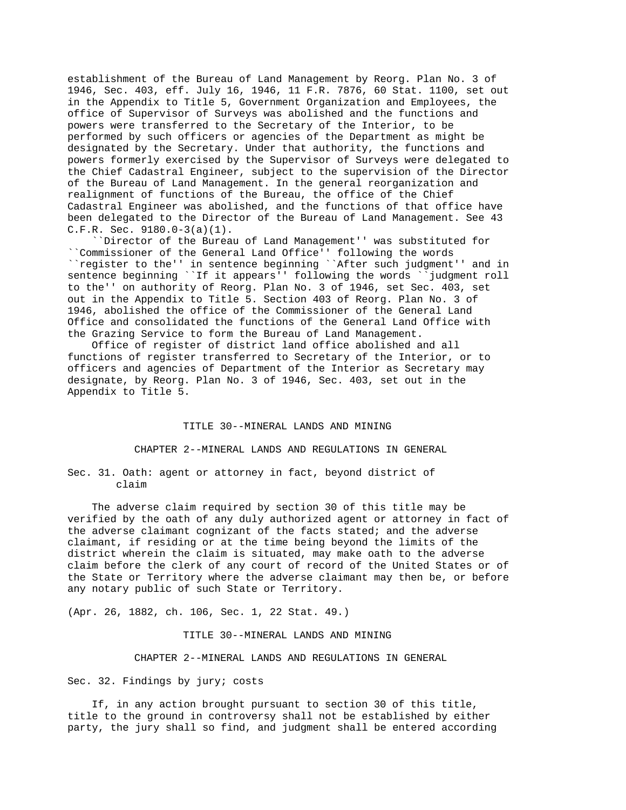establishment of the Bureau of Land Management by Reorg. Plan No. 3 of 1946, Sec. 403, eff. July 16, 1946, 11 F.R. 7876, 60 Stat. 1100, set out in the Appendix to Title 5, Government Organization and Employees, the office of Supervisor of Surveys was abolished and the functions and powers were transferred to the Secretary of the Interior, to be performed by such officers or agencies of the Department as might be designated by the Secretary. Under that authority, the functions and powers formerly exercised by the Supervisor of Surveys were delegated to the Chief Cadastral Engineer, subject to the supervision of the Director of the Bureau of Land Management. In the general reorganization and realignment of functions of the Bureau, the office of the Chief Cadastral Engineer was abolished, and the functions of that office have been delegated to the Director of the Bureau of Land Management. See 43 C.F.R. Sec. 9180.0-3(a)(1).

``Director of the Bureau of Land Management'' was substituted for ``Commissioner of the General Land Office'' following the words ``register to the'' in sentence beginning ``After such judgment'' and in sentence beginning ``If it appears'' following the words ``judgment roll to the'' on authority of Reorg. Plan No. 3 of 1946, set Sec. 403, set out in the Appendix to Title 5. Section 403 of Reorg. Plan No. 3 of 1946, abolished the office of the Commissioner of the General Land Office and consolidated the functions of the General Land Office with the Grazing Service to form the Bureau of Land Management.

Office of register of district land office abolished and all functions of register transferred to Secretary of the Interior, or to officers and agencies of Department of the Interior as Secretary may designate, by Reorg. Plan No. 3 of 1946, Sec. 403, set out in the Appendix to Title 5.

#### TITLE 30--MINERAL LANDS AND MINING

CHAPTER 2--MINERAL LANDS AND REGULATIONS IN GENERAL

Sec. 31. Oath: agent or attorney in fact, beyond district of claim

The adverse claim required by section 30 of this title may be verified by the oath of any duly authorized agent or attorney in fact of the adverse claimant cognizant of the facts stated; and the adverse claimant, if residing or at the time being beyond the limits of the district wherein the claim is situated, may make oath to the adverse claim before the clerk of any court of record of the United States or of the State or Territory where the adverse claimant may then be, or before any notary public of such State or Territory.

(Apr. 26, 1882, ch. 106, Sec. 1, 22 Stat. 49.)

TITLE 30--MINERAL LANDS AND MINING

# CHAPTER 2--MINERAL LANDS AND REGULATIONS IN GENERAL

Sec. 32. Findings by jury; costs

If, in any action brought pursuant to section 30 of this title, title to the ground in controversy shall not be established by either party, the jury shall so find, and judgment shall be entered according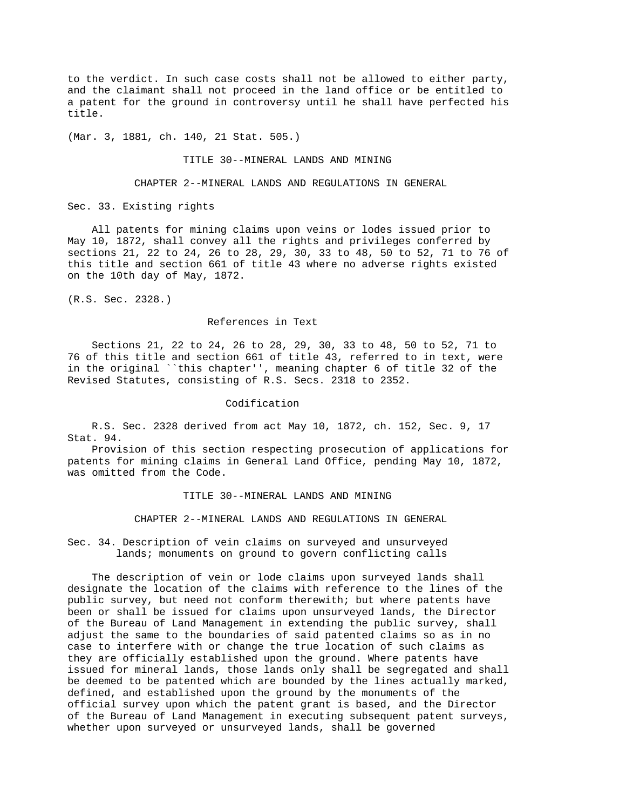to the verdict. In such case costs shall not be allowed to either party, and the claimant shall not proceed in the land office or be entitled to a patent for the ground in controversy until he shall have perfected his title.

(Mar. 3, 1881, ch. 140, 21 Stat. 505.)

TITLE 30--MINERAL LANDS AND MINING

CHAPTER 2--MINERAL LANDS AND REGULATIONS IN GENERAL

Sec. 33. Existing rights

All patents for mining claims upon veins or lodes issued prior to May 10, 1872, shall convey all the rights and privileges conferred by sections 21, 22 to 24, 26 to 28, 29, 30, 33 to 48, 50 to 52, 71 to 76 of this title and section 661 of title 43 where no adverse rights existed on the 10th day of May, 1872.

(R.S. Sec. 2328.)

# References in Text

Sections 21, 22 to 24, 26 to 28, 29, 30, 33 to 48, 50 to 52, 71 to 76 of this title and section 661 of title 43, referred to in text, were in the original ``this chapter'', meaning chapter 6 of title 32 of the Revised Statutes, consisting of R.S. Secs. 2318 to 2352.

# Codification

R.S. Sec. 2328 derived from act May 10, 1872, ch. 152, Sec. 9, 17 Stat. 94.

Provision of this section respecting prosecution of applications for patents for mining claims in General Land Office, pending May 10, 1872, was omitted from the Code.

TITLE 30--MINERAL LANDS AND MINING

CHAPTER 2--MINERAL LANDS AND REGULATIONS IN GENERAL

Sec. 34. Description of vein claims on surveyed and unsurveyed lands; monuments on ground to govern conflicting calls

The description of vein or lode claims upon surveyed lands shall designate the location of the claims with reference to the lines of the public survey, but need not conform therewith; but where patents have been or shall be issued for claims upon unsurveyed lands, the Director of the Bureau of Land Management in extending the public survey, shall adjust the same to the boundaries of said patented claims so as in no case to interfere with or change the true location of such claims as they are officially established upon the ground. Where patents have issued for mineral lands, those lands only shall be segregated and shall be deemed to be patented which are bounded by the lines actually marked, defined, and established upon the ground by the monuments of the official survey upon which the patent grant is based, and the Director of the Bureau of Land Management in executing subsequent patent surveys, whether upon surveyed or unsurveyed lands, shall be governed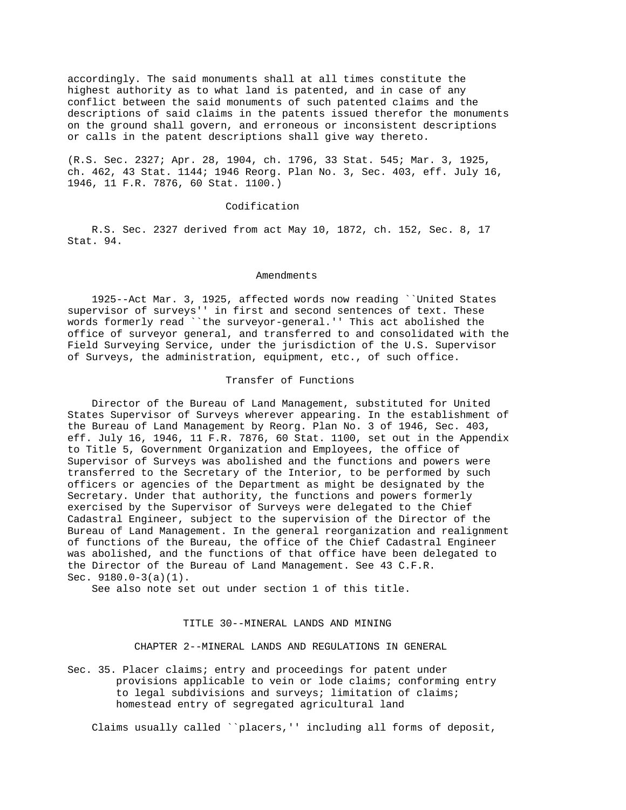accordingly. The said monuments shall at all times constitute the highest authority as to what land is patented, and in case of any conflict between the said monuments of such patented claims and the descriptions of said claims in the patents issued therefor the monuments on the ground shall govern, and erroneous or inconsistent descriptions or calls in the patent descriptions shall give way thereto.

(R.S. Sec. 2327; Apr. 28, 1904, ch. 1796, 33 Stat. 545; Mar. 3, 1925, ch. 462, 43 Stat. 1144; 1946 Reorg. Plan No. 3, Sec. 403, eff. July 16, 1946, 11 F.R. 7876, 60 Stat. 1100.)

#### Codification

R.S. Sec. 2327 derived from act May 10, 1872, ch. 152, Sec. 8, 17 Stat. 94.

# Amendments

1925--Act Mar. 3, 1925, affected words now reading ``United States supervisor of surveys'' in first and second sentences of text. These words formerly read ``the surveyor-general.'' This act abolished the office of surveyor general, and transferred to and consolidated with the Field Surveying Service, under the jurisdiction of the U.S. Supervisor of Surveys, the administration, equipment, etc., of such office.

#### Transfer of Functions

Director of the Bureau of Land Management, substituted for United States Supervisor of Surveys wherever appearing. In the establishment of the Bureau of Land Management by Reorg. Plan No. 3 of 1946, Sec. 403, eff. July 16, 1946, 11 F.R. 7876, 60 Stat. 1100, set out in the Appendix to Title 5, Government Organization and Employees, the office of Supervisor of Surveys was abolished and the functions and powers were transferred to the Secretary of the Interior, to be performed by such officers or agencies of the Department as might be designated by the Secretary. Under that authority, the functions and powers formerly exercised by the Supervisor of Surveys were delegated to the Chief Cadastral Engineer, subject to the supervision of the Director of the Bureau of Land Management. In the general reorganization and realignment of functions of the Bureau, the office of the Chief Cadastral Engineer was abolished, and the functions of that office have been delegated to the Director of the Bureau of Land Management. See 43 C.F.R. Sec. 9180.0-3(a)(1).

See also note set out under section 1 of this title.

# TITLE 30--MINERAL LANDS AND MINING

# CHAPTER 2--MINERAL LANDS AND REGULATIONS IN GENERAL

Sec. 35. Placer claims; entry and proceedings for patent under provisions applicable to vein or lode claims; conforming entry to legal subdivisions and surveys; limitation of claims; homestead entry of segregated agricultural land

Claims usually called ``placers,'' including all forms of deposit,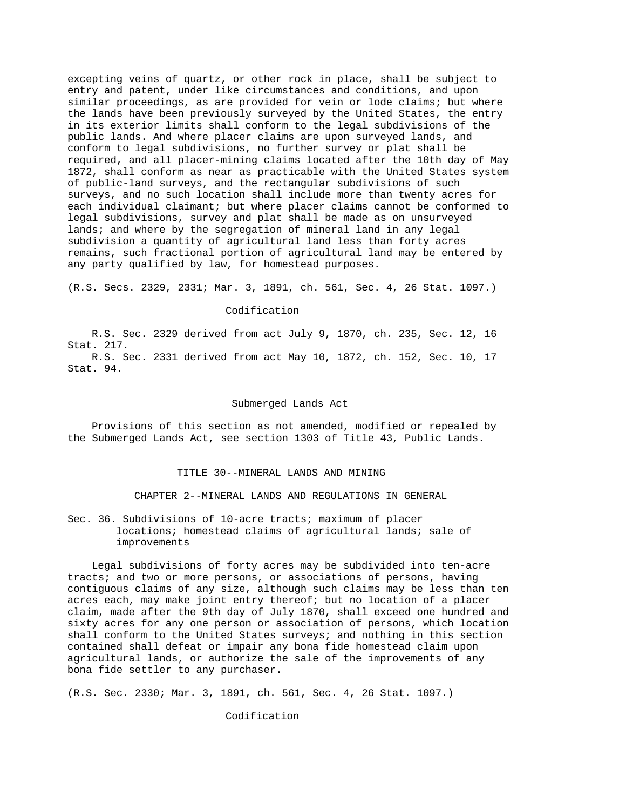excepting veins of quartz, or other rock in place, shall be subject to entry and patent, under like circumstances and conditions, and upon similar proceedings, as are provided for vein or lode claims; but where the lands have been previously surveyed by the United States, the entry in its exterior limits shall conform to the legal subdivisions of the public lands. And where placer claims are upon surveyed lands, and conform to legal subdivisions, no further survey or plat shall be required, and all placer-mining claims located after the 10th day of May 1872, shall conform as near as practicable with the United States system of public-land surveys, and the rectangular subdivisions of such surveys, and no such location shall include more than twenty acres for each individual claimant; but where placer claims cannot be conformed to legal subdivisions, survey and plat shall be made as on unsurveyed lands; and where by the segregation of mineral land in any legal subdivision a quantity of agricultural land less than forty acres remains, such fractional portion of agricultural land may be entered by any party qualified by law, for homestead purposes.

(R.S. Secs. 2329, 2331; Mar. 3, 1891, ch. 561, Sec. 4, 26 Stat. 1097.)

# Codification

Stat. 94.

R.S. Sec. 2329 derived from act July 9, 1870, ch. 235, Sec. 12, 16 Stat. 217. R.S. Sec. 2331 derived from act May 10, 1872, ch. 152, Sec. 10, 17

### Submerged Lands Act

Provisions of this section as not amended, modified or repealed by the Submerged Lands Act, see section 1303 of Title 43, Public Lands.

# TITLE 30--MINERAL LANDS AND MINING

CHAPTER 2--MINERAL LANDS AND REGULATIONS IN GENERAL

Sec. 36. Subdivisions of 10-acre tracts; maximum of placer locations; homestead claims of agricultural lands; sale of improvements

Legal subdivisions of forty acres may be subdivided into ten-acre tracts; and two or more persons, or associations of persons, having contiguous claims of any size, although such claims may be less than ten acres each, may make joint entry thereof; but no location of a placer claim, made after the 9th day of July 1870, shall exceed one hundred and sixty acres for any one person or association of persons, which location shall conform to the United States surveys; and nothing in this section contained shall defeat or impair any bona fide homestead claim upon agricultural lands, or authorize the sale of the improvements of any bona fide settler to any purchaser.

(R.S. Sec. 2330; Mar. 3, 1891, ch. 561, Sec. 4, 26 Stat. 1097.)

Codification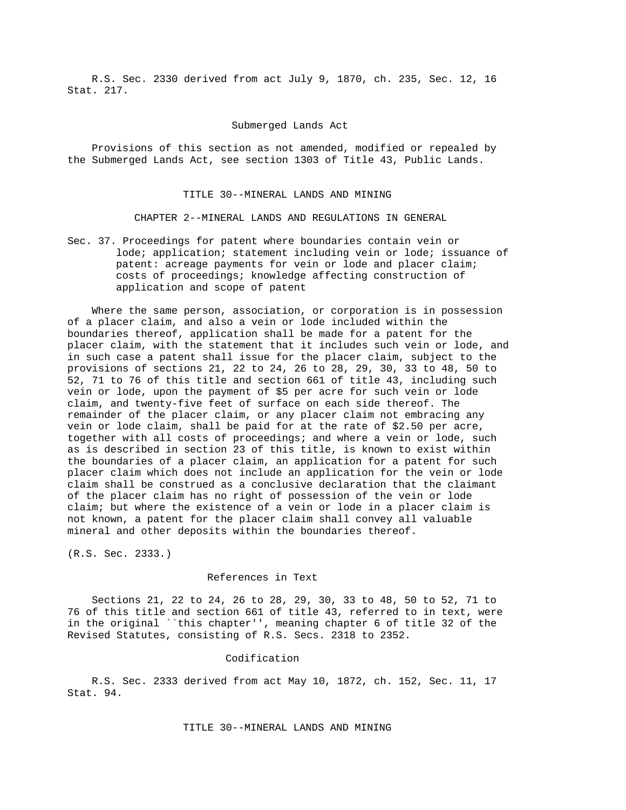R.S. Sec. 2330 derived from act July 9, 1870, ch. 235, Sec. 12, 16 Stat. 217.

#### Submerged Lands Act

Provisions of this section as not amended, modified or repealed by the Submerged Lands Act, see section 1303 of Title 43, Public Lands.

#### TITLE 30--MINERAL LANDS AND MINING

CHAPTER 2--MINERAL LANDS AND REGULATIONS IN GENERAL

Sec. 37. Proceedings for patent where boundaries contain vein or lode; application; statement including vein or lode; issuance of patent: acreage payments for vein or lode and placer claim; costs of proceedings; knowledge affecting construction of application and scope of patent

Where the same person, association, or corporation is in possession of a placer claim, and also a vein or lode included within the boundaries thereof, application shall be made for a patent for the placer claim, with the statement that it includes such vein or lode, and in such case a patent shall issue for the placer claim, subject to the provisions of sections 21, 22 to 24, 26 to 28, 29, 30, 33 to 48, 50 to 52, 71 to 76 of this title and section 661 of title 43, including such vein or lode, upon the payment of \$5 per acre for such vein or lode claim, and twenty-five feet of surface on each side thereof. The remainder of the placer claim, or any placer claim not embracing any vein or lode claim, shall be paid for at the rate of \$2.50 per acre, together with all costs of proceedings; and where a vein or lode, such as is described in section 23 of this title, is known to exist within the boundaries of a placer claim, an application for a patent for such placer claim which does not include an application for the vein or lode claim shall be construed as a conclusive declaration that the claimant of the placer claim has no right of possession of the vein or lode claim; but where the existence of a vein or lode in a placer claim is not known, a patent for the placer claim shall convey all valuable mineral and other deposits within the boundaries thereof.

(R.S. Sec. 2333.)

#### References in Text

Sections 21, 22 to 24, 26 to 28, 29, 30, 33 to 48, 50 to 52, 71 to 76 of this title and section 661 of title 43, referred to in text, were in the original ``this chapter'', meaning chapter 6 of title 32 of the Revised Statutes, consisting of R.S. Secs. 2318 to 2352.

#### Codification

R.S. Sec. 2333 derived from act May 10, 1872, ch. 152, Sec. 11, 17 Stat. 94.

# TITLE 30--MINERAL LANDS AND MINING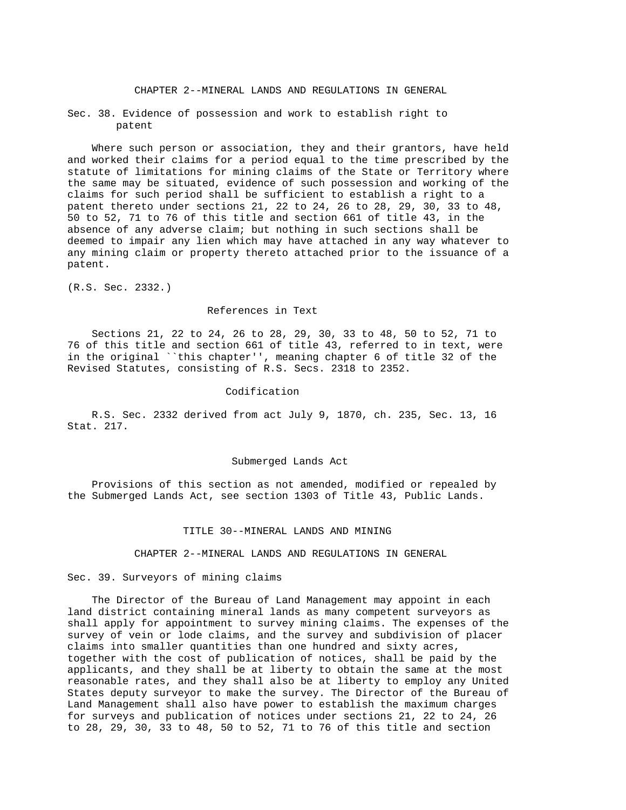CHAPTER 2--MINERAL LANDS AND REGULATIONS IN GENERAL

Sec. 38. Evidence of possession and work to establish right to patent

Where such person or association, they and their grantors, have held and worked their claims for a period equal to the time prescribed by the statute of limitations for mining claims of the State or Territory where the same may be situated, evidence of such possession and working of the claims for such period shall be sufficient to establish a right to a patent thereto under sections 21, 22 to 24, 26 to 28, 29, 30, 33 to 48, 50 to 52, 71 to 76 of this title and section 661 of title 43, in the absence of any adverse claim; but nothing in such sections shall be deemed to impair any lien which may have attached in any way whatever to any mining claim or property thereto attached prior to the issuance of a patent.

(R.S. Sec. 2332.)

# References in Text

Sections 21, 22 to 24, 26 to 28, 29, 30, 33 to 48, 50 to 52, 71 to 76 of this title and section 661 of title 43, referred to in text, were in the original ``this chapter'', meaning chapter 6 of title 32 of the Revised Statutes, consisting of R.S. Secs. 2318 to 2352.

# Codification

R.S. Sec. 2332 derived from act July 9, 1870, ch. 235, Sec. 13, 16 Stat. 217.

# Submerged Lands Act

Provisions of this section as not amended, modified or repealed by the Submerged Lands Act, see section 1303 of Title 43, Public Lands.

# TITLE 30--MINERAL LANDS AND MINING

#### CHAPTER 2--MINERAL LANDS AND REGULATIONS IN GENERAL

### Sec. 39. Surveyors of mining claims

The Director of the Bureau of Land Management may appoint in each land district containing mineral lands as many competent surveyors as shall apply for appointment to survey mining claims. The expenses of the survey of vein or lode claims, and the survey and subdivision of placer claims into smaller quantities than one hundred and sixty acres, together with the cost of publication of notices, shall be paid by the applicants, and they shall be at liberty to obtain the same at the most reasonable rates, and they shall also be at liberty to employ any United States deputy surveyor to make the survey. The Director of the Bureau of Land Management shall also have power to establish the maximum charges for surveys and publication of notices under sections 21, 22 to 24, 26 to 28, 29, 30, 33 to 48, 50 to 52, 71 to 76 of this title and section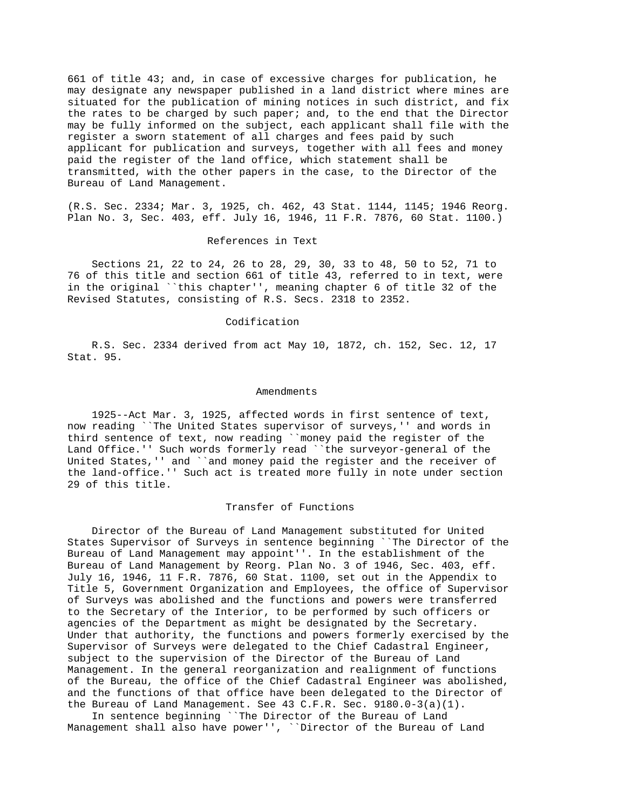661 of title 43; and, in case of excessive charges for publication, he may designate any newspaper published in a land district where mines are situated for the publication of mining notices in such district, and fix the rates to be charged by such paper; and, to the end that the Director may be fully informed on the subject, each applicant shall file with the register a sworn statement of all charges and fees paid by such applicant for publication and surveys, together with all fees and money paid the register of the land office, which statement shall be transmitted, with the other papers in the case, to the Director of the Bureau of Land Management.

(R.S. Sec. 2334; Mar. 3, 1925, ch. 462, 43 Stat. 1144, 1145; 1946 Reorg. Plan No. 3, Sec. 403, eff. July 16, 1946, 11 F.R. 7876, 60 Stat. 1100.)

### References in Text

Sections 21, 22 to 24, 26 to 28, 29, 30, 33 to 48, 50 to 52, 71 to 76 of this title and section 661 of title 43, referred to in text, were in the original ``this chapter'', meaning chapter 6 of title 32 of the Revised Statutes, consisting of R.S. Secs. 2318 to 2352.

# Codification

R.S. Sec. 2334 derived from act May 10, 1872, ch. 152, Sec. 12, 17 Stat. 95.

#### Amendments

1925--Act Mar. 3, 1925, affected words in first sentence of text, now reading ``The United States supervisor of surveys,'' and words in third sentence of text, now reading ``money paid the register of the Land Office.'' Such words formerly read ``the surveyor-general of the United States,'' and ``and money paid the register and the receiver of the land-office.'' Such act is treated more fully in note under section 29 of this title.

# Transfer of Functions

Director of the Bureau of Land Management substituted for United States Supervisor of Surveys in sentence beginning ``The Director of the Bureau of Land Management may appoint''. In the establishment of the Bureau of Land Management by Reorg. Plan No. 3 of 1946, Sec. 403, eff. July 16, 1946, 11 F.R. 7876, 60 Stat. 1100, set out in the Appendix to Title 5, Government Organization and Employees, the office of Supervisor of Surveys was abolished and the functions and powers were transferred to the Secretary of the Interior, to be performed by such officers or agencies of the Department as might be designated by the Secretary. Under that authority, the functions and powers formerly exercised by the Supervisor of Surveys were delegated to the Chief Cadastral Engineer, subject to the supervision of the Director of the Bureau of Land Management. In the general reorganization and realignment of functions of the Bureau, the office of the Chief Cadastral Engineer was abolished, and the functions of that office have been delegated to the Director of the Bureau of Land Management. See 43 C.F.R. Sec. 9180.0-3(a)(1).

In sentence beginning ``The Director of the Bureau of Land Management shall also have power'', ``Director of the Bureau of Land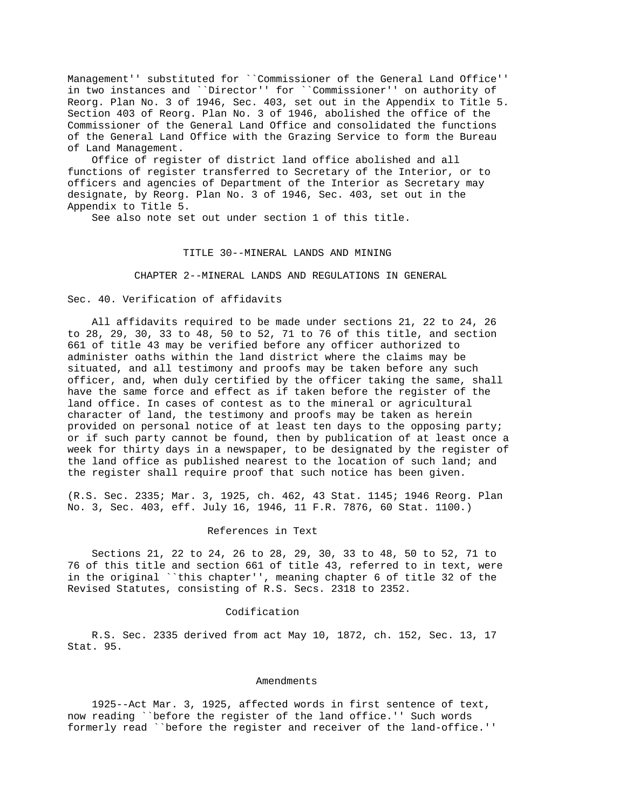Management'' substituted for ``Commissioner of the General Land Office'' in two instances and ``Director'' for ``Commissioner'' on authority of Reorg. Plan No. 3 of 1946, Sec. 403, set out in the Appendix to Title 5. Section 403 of Reorg. Plan No. 3 of 1946, abolished the office of the Commissioner of the General Land Office and consolidated the functions of the General Land Office with the Grazing Service to form the Bureau of Land Management.

Office of register of district land office abolished and all functions of register transferred to Secretary of the Interior, or to officers and agencies of Department of the Interior as Secretary may designate, by Reorg. Plan No. 3 of 1946, Sec. 403, set out in the Appendix to Title 5.

See also note set out under section 1 of this title.

# TITLE 30--MINERAL LANDS AND MINING

## CHAPTER 2--MINERAL LANDS AND REGULATIONS IN GENERAL

# Sec. 40. Verification of affidavits

All affidavits required to be made under sections 21, 22 to 24, 26 to 28, 29, 30, 33 to 48, 50 to 52, 71 to 76 of this title, and section 661 of title 43 may be verified before any officer authorized to administer oaths within the land district where the claims may be situated, and all testimony and proofs may be taken before any such officer, and, when duly certified by the officer taking the same, shall have the same force and effect as if taken before the register of the land office. In cases of contest as to the mineral or agricultural character of land, the testimony and proofs may be taken as herein provided on personal notice of at least ten days to the opposing party; or if such party cannot be found, then by publication of at least once a week for thirty days in a newspaper, to be designated by the register of the land office as published nearest to the location of such land; and the register shall require proof that such notice has been given.

(R.S. Sec. 2335; Mar. 3, 1925, ch. 462, 43 Stat. 1145; 1946 Reorg. Plan No. 3, Sec. 403, eff. July 16, 1946, 11 F.R. 7876, 60 Stat. 1100.)

#### References in Text

Sections 21, 22 to 24, 26 to 28, 29, 30, 33 to 48, 50 to 52, 71 to 76 of this title and section 661 of title 43, referred to in text, were in the original ``this chapter'', meaning chapter 6 of title 32 of the Revised Statutes, consisting of R.S. Secs. 2318 to 2352.

### Codification

R.S. Sec. 2335 derived from act May 10, 1872, ch. 152, Sec. 13, 17 Stat. 95.

# Amendments

1925--Act Mar. 3, 1925, affected words in first sentence of text, now reading ``before the register of the land office.'' Such words formerly read ``before the register and receiver of the land-office.''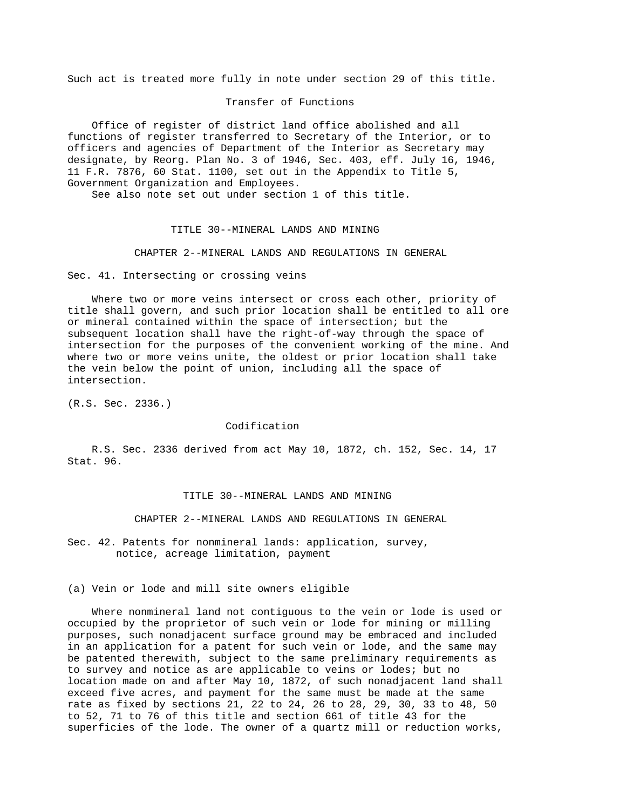Such act is treated more fully in note under section 29 of this title.

# Transfer of Functions

Office of register of district land office abolished and all functions of register transferred to Secretary of the Interior, or to officers and agencies of Department of the Interior as Secretary may designate, by Reorg. Plan No. 3 of 1946, Sec. 403, eff. July 16, 1946, 11 F.R. 7876, 60 Stat. 1100, set out in the Appendix to Title 5, Government Organization and Employees.

See also note set out under section 1 of this title.

### TITLE 30--MINERAL LANDS AND MINING

CHAPTER 2--MINERAL LANDS AND REGULATIONS IN GENERAL

# Sec. 41. Intersecting or crossing veins

Where two or more veins intersect or cross each other, priority of title shall govern, and such prior location shall be entitled to all ore or mineral contained within the space of intersection; but the subsequent location shall have the right-of-way through the space of intersection for the purposes of the convenient working of the mine. And where two or more veins unite, the oldest or prior location shall take the vein below the point of union, including all the space of intersection.

(R.S. Sec. 2336.)

#### Codification

R.S. Sec. 2336 derived from act May 10, 1872, ch. 152, Sec. 14, 17 Stat. 96.

### TITLE 30--MINERAL LANDS AND MINING

CHAPTER 2--MINERAL LANDS AND REGULATIONS IN GENERAL

Sec. 42. Patents for nonmineral lands: application, survey, notice, acreage limitation, payment

(a) Vein or lode and mill site owners eligible

Where nonmineral land not contiguous to the vein or lode is used or occupied by the proprietor of such vein or lode for mining or milling purposes, such nonadjacent surface ground may be embraced and included in an application for a patent for such vein or lode, and the same may be patented therewith, subject to the same preliminary requirements as to survey and notice as are applicable to veins or lodes; but no location made on and after May 10, 1872, of such nonadjacent land shall exceed five acres, and payment for the same must be made at the same rate as fixed by sections 21, 22 to 24, 26 to 28, 29, 30, 33 to 48, 50 to 52, 71 to 76 of this title and section 661 of title 43 for the superficies of the lode. The owner of a quartz mill or reduction works,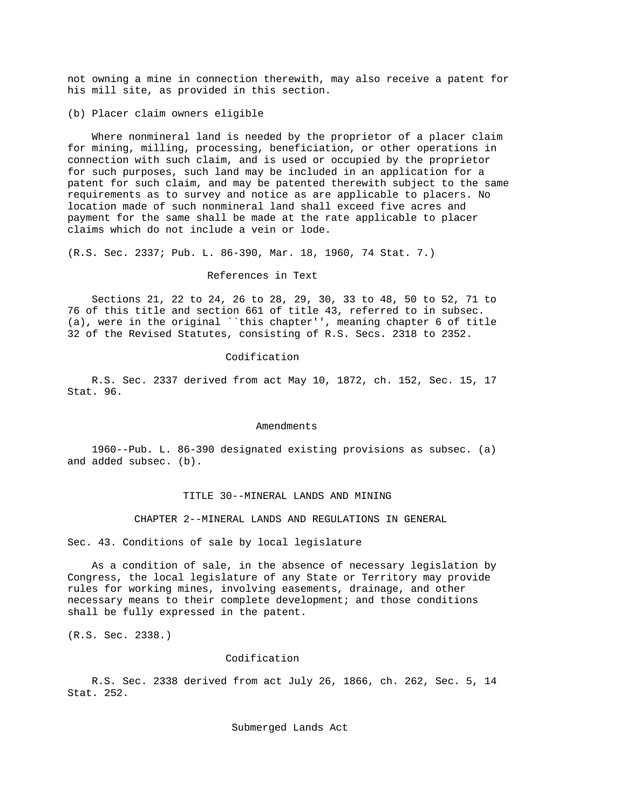not owning a mine in connection therewith, may also receive a patent for his mill site, as provided in this section.

(b) Placer claim owners eligible

Where nonmineral land is needed by the proprietor of a placer claim for mining, milling, processing, beneficiation, or other operations in connection with such claim, and is used or occupied by the proprietor for such purposes, such land may be included in an application for a patent for such claim, and may be patented therewith subject to the same requirements as to survey and notice as are applicable to placers. No location made of such nonmineral land shall exceed five acres and payment for the same shall be made at the rate applicable to placer claims which do not include a vein or lode.

(R.S. Sec. 2337; Pub. L. 86-390, Mar. 18, 1960, 74 Stat. 7.)

# References in Text

Sections 21, 22 to 24, 26 to 28, 29, 30, 33 to 48, 50 to 52, 71 to 76 of this title and section 661 of title 43, referred to in subsec. (a), were in the original ``this chapter'', meaning chapter 6 of title 32 of the Revised Statutes, consisting of R.S. Secs. 2318 to 2352.

#### Codification

R.S. Sec. 2337 derived from act May 10, 1872, ch. 152, Sec. 15, 17 Stat. 96.

#### Amendments

1960--Pub. L. 86-390 designated existing provisions as subsec. (a) and added subsec. (b).

#### TITLE 30--MINERAL LANDS AND MINING

CHAPTER 2--MINERAL LANDS AND REGULATIONS IN GENERAL

Sec. 43. Conditions of sale by local legislature

As a condition of sale, in the absence of necessary legislation by Congress, the local legislature of any State or Territory may provide rules for working mines, involving easements, drainage, and other necessary means to their complete development; and those conditions shall be fully expressed in the patent.

(R.S. Sec. 2338.)

### Codification

R.S. Sec. 2338 derived from act July 26, 1866, ch. 262, Sec. 5, 14 Stat. 252.

Submerged Lands Act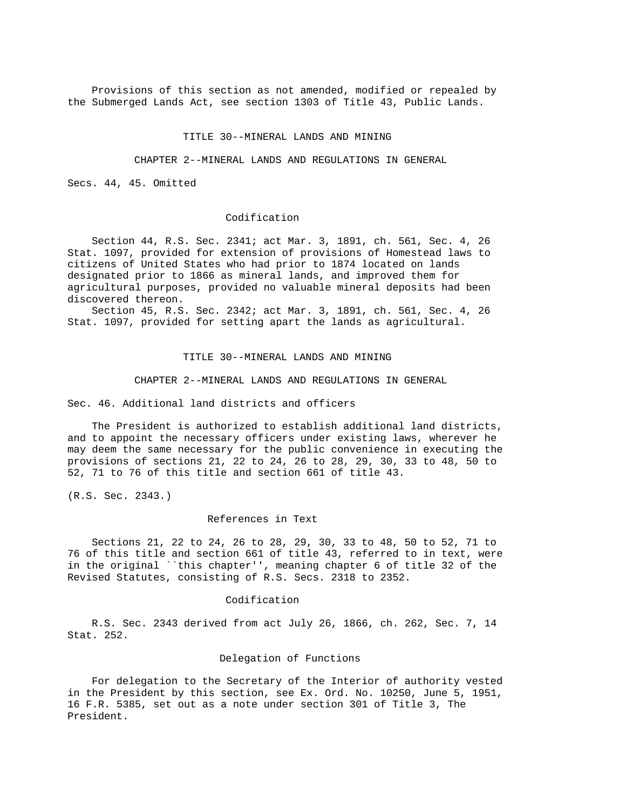Provisions of this section as not amended, modified or repealed by the Submerged Lands Act, see section 1303 of Title 43, Public Lands.

#### TITLE 30--MINERAL LANDS AND MINING

CHAPTER 2--MINERAL LANDS AND REGULATIONS IN GENERAL

Secs. 44, 45. Omitted

# Codification

Section 44, R.S. Sec. 2341; act Mar. 3, 1891, ch. 561, Sec. 4, 26 Stat. 1097, provided for extension of provisions of Homestead laws to citizens of United States who had prior to 1874 located on lands designated prior to 1866 as mineral lands, and improved them for agricultural purposes, provided no valuable mineral deposits had been discovered thereon.

Section 45, R.S. Sec. 2342; act Mar. 3, 1891, ch. 561, Sec. 4, 26 Stat. 1097, provided for setting apart the lands as agricultural.

#### TITLE 30--MINERAL LANDS AND MINING

CHAPTER 2--MINERAL LANDS AND REGULATIONS IN GENERAL

Sec. 46. Additional land districts and officers

The President is authorized to establish additional land districts, and to appoint the necessary officers under existing laws, wherever he may deem the same necessary for the public convenience in executing the provisions of sections 21, 22 to 24, 26 to 28, 29, 30, 33 to 48, 50 to 52, 71 to 76 of this title and section 661 of title 43.

(R.S. Sec. 2343.)

# References in Text

Sections 21, 22 to 24, 26 to 28, 29, 30, 33 to 48, 50 to 52, 71 to 76 of this title and section 661 of title 43, referred to in text, were in the original ``this chapter'', meaning chapter 6 of title 32 of the Revised Statutes, consisting of R.S. Secs. 2318 to 2352.

### Codification

R.S. Sec. 2343 derived from act July 26, 1866, ch. 262, Sec. 7, 14 Stat. 252.

# Delegation of Functions

For delegation to the Secretary of the Interior of authority vested in the President by this section, see Ex. Ord. No. 10250, June 5, 1951, 16 F.R. 5385, set out as a note under section 301 of Title 3, The President.